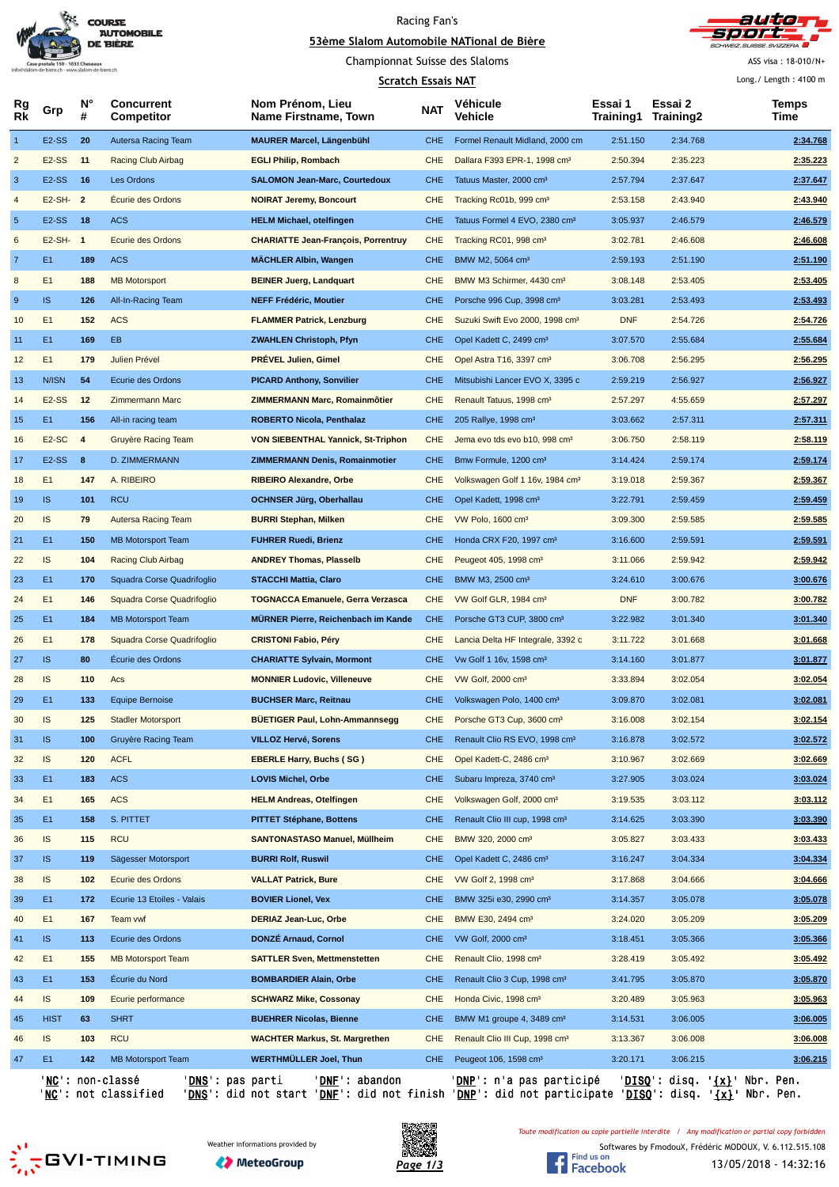

# Racing Fan's





Championnat Suisse des Slaloms

#### **Scratch Essais NAT**

ASS visa : 18-010/N+

|                | <b>Scratch Essais NAT</b> |                         |                                        |                                                 |            |                                             |                      | Long. / Length: $4100 \text{ m}$ |  |               |
|----------------|---------------------------|-------------------------|----------------------------------------|-------------------------------------------------|------------|---------------------------------------------|----------------------|----------------------------------|--|---------------|
| Rg<br>Rk       | Grp                       | N°<br>#                 | <b>Concurrent</b><br><b>Competitor</b> | Nom Prénom, Lieu<br><b>Name Firstname, Town</b> | <b>NAT</b> | Véhicule<br>Vehicle                         | Essai 1<br>Training1 | Essai 2<br>Training2             |  | Temps<br>Time |
| $\mathbf{1}$   | E <sub>2</sub> -SS        | 20                      | Autersa Racing Team                    | <b>MAURER Marcel, Längenbühl</b>                | <b>CHE</b> | Formel Renault Midland, 2000 cm             | 2:51.150             | 2:34.768                         |  | 2:34.768      |
| $\overline{c}$ | <b>E2-SS</b>              | 11                      | <b>Racing Club Airbag</b>              | <b>EGLI Philip, Rombach</b>                     | <b>CHE</b> | Dallara F393 EPR-1, 1998 cm <sup>3</sup>    | 2:50.394             | 2:35.223                         |  | 2:35.223      |
| 3              | E <sub>2</sub> -SS        | 16                      | Les Ordons                             | <b>SALOMON Jean-Marc, Courtedoux</b>            | <b>CHE</b> | Tatuus Master, 2000 cm <sup>3</sup>         | 2:57.794             | 2:37.647                         |  | 2:37.647      |
| $\overline{4}$ | E2-SH-                    | $\overline{2}$          | <b>Ecurie des Ordons</b>               | <b>NOIRAT Jeremy, Boncourt</b>                  | <b>CHE</b> | Tracking Rc01b, 999 cm <sup>3</sup>         | 2:53.158             | 2:43.940                         |  | 2:43.940      |
| $\sqrt{5}$     | E <sub>2</sub> -SS        | 18                      | <b>ACS</b>                             | <b>HELM Michael, otelfingen</b>                 | <b>CHE</b> | Tatuus Formel 4 EVO, 2380 cm <sup>3</sup>   | 3:05.937             | 2:46.579                         |  | 2:46.579      |
| 6              | $E2-SH-1$                 |                         | <b>Ecurie des Ordons</b>               | <b>CHARIATTE Jean-François, Porrentruy</b>      | <b>CHE</b> | Tracking RC01, 998 cm <sup>3</sup>          | 3:02.781             | 2:46.608                         |  | 2:46.608      |
| $\overline{7}$ | E <sub>1</sub>            | 189                     | <b>ACS</b>                             | <b>MÄCHLER Albin, Wangen</b>                    | <b>CHE</b> | BMW M2, 5064 cm <sup>3</sup>                | 2:59.193             | 2:51.190                         |  | 2:51.190      |
| 8              | E1                        | 188                     | <b>MB Motorsport</b>                   | <b>BEINER Juerg, Landquart</b>                  | <b>CHE</b> | BMW M3 Schirmer, 4430 cm <sup>3</sup>       | 3:08.148             | 2:53.405                         |  | 2:53.405      |
| 9              | <b>IS</b>                 | 126                     | All-In-Racing Team                     | <b>NEFF Frédéric, Moutier</b>                   | <b>CHE</b> | Porsche 996 Cup, 3998 cm <sup>3</sup>       | 3:03.281             | 2:53.493                         |  | 2:53.493      |
| 10             | E <sub>1</sub>            | 152                     | <b>ACS</b>                             | <b>FLAMMER Patrick, Lenzburg</b>                | <b>CHE</b> | Suzuki Swift Evo 2000, 1998 cm <sup>3</sup> | <b>DNF</b>           | 2:54.726                         |  | 2:54.726      |
| 11             | E <sub>1</sub>            | 169                     | EB.                                    | <b>ZWAHLEN Christoph, Pfyn</b>                  | <b>CHE</b> | Opel Kadett C, 2499 cm <sup>3</sup>         | 3:07.570             | 2:55.684                         |  | 2:55.684      |
| 12             | E1                        | 179                     | Julien Prével                          | <b>PRÉVEL Julien, Gimel</b>                     | <b>CHE</b> | Opel Astra T16, 3397 cm <sup>3</sup>        | 3:06.708             | 2:56.295                         |  | 2:56.295      |
| 13             | N/ISN                     | 54                      | Ecurie des Ordons                      | <b>PICARD Anthony, Sonvilier</b>                | <b>CHE</b> | Mitsubishi Lancer EVO X, 3395 c             | 2:59.219             | 2:56.927                         |  | 2:56.927      |
| 14             | <b>E2-SS</b>              | 12                      | <b>Zimmermann Marc</b>                 | ZIMMERMANN Marc, Romainmôtier                   | <b>CHE</b> | Renault Tatuus, 1998 cm <sup>3</sup>        | 2:57.297             | 4:55.659                         |  | 2:57.297      |
| 15             | E <sub>1</sub>            | 156                     | All-in racing team                     | <b>ROBERTO Nicola, Penthalaz</b>                | <b>CHE</b> | 205 Rallye, 1998 cm <sup>3</sup>            | 3:03.662             | 2:57.311                         |  | 2:57.311      |
| 16             | E <sub>2</sub> -SC        | $\overline{\mathbf{4}}$ | Gruyère Racing Team                    | <b>VON SIEBENTHAL Yannick, St-Triphon</b>       | <b>CHE</b> | Jema evo tds evo b10, 998 cm <sup>3</sup>   | 3:06.750             | 2:58.119                         |  | 2:58.119      |
| 17             | E <sub>2</sub> -SS        | 8                       | D. ZIMMERMANN                          | <b>ZIMMERMANN Denis, Romainmotier</b>           | <b>CHE</b> | Bmw Formule, 1200 cm <sup>3</sup>           | 3:14.424             | 2:59.174                         |  | 2:59.174      |
| 18             | E1                        | 147                     | A. RIBEIRO                             | <b>RIBEIRO Alexandre, Orbe</b>                  | <b>CHE</b> | Volkswagen Golf 1 16v, 1984 cm <sup>3</sup> | 3:19.018             | 2:59.367                         |  | 2:59.367      |
| 19             | <b>IS</b>                 | 101                     | <b>RCU</b>                             | <b>OCHNSER Jürg, Oberhallau</b>                 | <b>CHE</b> | Opel Kadett, 1998 cm <sup>3</sup>           | 3:22.791             | 2:59.459                         |  | 2:59.459      |
| 20             | IS                        | 79                      | Autersa Racing Team                    | <b>BURRI Stephan, Milken</b>                    | <b>CHE</b> | VW Polo, 1600 cm <sup>3</sup>               | 3:09.300             | 2:59.585                         |  | 2:59.585      |
| 21             | E <sub>1</sub>            | 150                     | <b>MB Motorsport Team</b>              | <b>FUHRER Ruedi, Brienz</b>                     | <b>CHE</b> | Honda CRX F20, 1997 cm <sup>3</sup>         | 3:16.600             | 2:59.591                         |  | 2:59.591      |
| 22             | IS                        | 104                     | Racing Club Airbag                     | <b>ANDREY Thomas, Plasselb</b>                  | <b>CHE</b> | Peugeot 405, 1998 cm <sup>3</sup>           | 3:11.066             | 2:59.942                         |  | 2:59.942      |
| 23             | E <sub>1</sub>            | 170                     | Squadra Corse Quadrifoglio             | <b>STACCHI Mattia, Claro</b>                    | <b>CHE</b> | BMW M3, 2500 cm <sup>3</sup>                | 3:24.610             | 3:00.676                         |  | 3:00.676      |
| 24             | E1                        | 146                     | Squadra Corse Quadrifoglio             | <b>TOGNACCA Emanuele, Gerra Verzasca</b>        | <b>CHE</b> | VW Golf GLR, 1984 cm <sup>3</sup>           | <b>DNF</b>           | 3:00.782                         |  | 3:00.782      |
| 25             | E <sub>1</sub>            | 184                     | <b>MB Motorsport Team</b>              | <b>MÜRNER Pierre, Reichenbach im Kande</b>      | <b>CHE</b> | Porsche GT3 CUP, 3800 cm <sup>3</sup>       | 3:22.982             | 3:01.340                         |  | 3:01.340      |
| 26             | E1                        | 178                     | Squadra Corse Quadrifoglio             | <b>CRISTONI Fabio, Péry</b>                     | <b>CHE</b> | Lancia Delta HF Integrale, 3392 c           | 3:11.722             | 3:01.668                         |  | 3:01.668      |
| 27             | <b>IS</b>                 | 80                      | Écurie des Ordons                      | <b>CHARIATTE Sylvain, Mormont</b>               | <b>CHE</b> | Vw Golf 1 16v, 1598 cm <sup>3</sup>         | 3:14.160             | 3:01.877                         |  | 3:01.877      |
| 28             | IS                        | 110                     | Acs                                    | <b>MONNIER Ludovic, Villeneuve</b>              | <b>CHE</b> | VW Golf, 2000 cm <sup>3</sup>               | 3:33.894             | 3:02.054                         |  | 3:02.054      |
| 29             | E <sub>1</sub>            | 133                     | <b>Equipe Bernoise</b>                 | <b>BUCHSER Marc, Reitnau</b>                    | <b>CHE</b> | Volkswagen Polo, 1400 cm <sup>3</sup>       | 3:09.870             | 3:02.081                         |  | 3:02.081      |
| 30             | <b>IS</b>                 | 125                     | <b>Stadler Motorsport</b>              | <b>BUETIGER Paul, Lohn-Ammannsegg</b>           | <b>CHE</b> | Porsche GT3 Cup, 3600 cm <sup>3</sup>       | 3:16.008             | 3:02.154                         |  | 3:02.154      |
| 31             | <b>IS</b>                 | 100                     | Gruyère Racing Team                    | <b>VILLOZ Hervé, Sorens</b>                     | <b>CHE</b> | Renault Clio RS EVO, 1998 cm <sup>3</sup>   | 3:16.878             | 3:02.572                         |  | 3:02.572      |
| 32             | <b>IS</b>                 | 120                     | <b>ACFL</b>                            | <b>EBERLE Harry, Buchs (SG)</b>                 | <b>CHE</b> | Opel Kadett-C, 2486 cm <sup>3</sup>         | 3:10.967             | 3:02.669                         |  | 3:02.669      |
|                | E <sub>1</sub>            | 183                     | <b>ACS</b>                             | <b>LOVIS Michel, Orbe</b>                       | CHE        | Subaru Impreza, 3740 cm <sup>3</sup>        |                      | 3:03.024                         |  | 3:03.024      |
| 33             | E1                        | 165                     | <b>ACS</b>                             | <b>HELM Andreas, Otelfingen</b>                 | <b>CHE</b> | Volkswagen Golf, 2000 cm <sup>3</sup>       | 3:27.905<br>3:19.535 | 3:03.112                         |  | 3:03.112      |
| 34             | E <sub>1</sub>            | 158                     | S. PITTET                              | <b>PITTET Stéphane, Bottens</b>                 | <b>CHE</b> |                                             | 3:14.625             | 3:03.390                         |  | 3:03.390      |
| 35             |                           |                         | <b>RCU</b>                             |                                                 |            | Renault Clio III cup, 1998 cm <sup>3</sup>  |                      |                                  |  |               |
| 36             | <b>IS</b>                 | 115                     |                                        | <b>SANTONASTASO Manuel, Müllheim</b>            | CHE        | BMW 320, 2000 cm <sup>3</sup>               | 3:05.827             | 3:03.433<br>3:04.334             |  | 3:03.433      |
| 37             | <b>IS</b>                 | 119                     | Sägesser Motorsport                    | <b>BURRI Rolf, Ruswil</b>                       | <b>CHE</b> | Opel Kadett C, 2486 cm <sup>3</sup>         | 3:16.247             |                                  |  | 3:04.334      |
| 38             | <b>IS</b>                 | 102                     | Ecurie des Ordons                      | <b>VALLAT Patrick, Bure</b>                     | <b>CHE</b> | VW Golf 2, 1998 cm <sup>3</sup>             | 3:17.868             | 3:04.666                         |  | 3:04.666      |
| 39             | E <sub>1</sub>            | 172                     | Ecurie 13 Etoiles - Valais             | <b>BOVIER Lionel, Vex</b>                       | <b>CHE</b> | BMW 325i e30, 2990 cm <sup>3</sup>          | 3:14.357             | 3:05.078                         |  | 3:05.078      |
| 40             | E1                        | 167                     | Team vwf                               | DERIAZ Jean-Luc, Orbe                           | <b>CHE</b> | BMW E30, 2494 cm <sup>3</sup>               | 3:24.020             | 3:05.209                         |  | 3:05.209      |
| 41             | <b>IS</b>                 | 113                     | Ecurie des Ordons                      | DONZÉ Arnaud, Cornol                            | <b>CHE</b> | VW Golf, 2000 cm <sup>3</sup>               | 3:18.451             | 3:05.366                         |  | 3:05.366      |
| 42             | E1                        | 155                     | <b>MB Motorsport Team</b>              | <b>SATTLER Sven, Mettmenstetten</b>             | <b>CHE</b> | Renault Clio, 1998 cm <sup>3</sup>          | 3:28.419             | 3:05.492                         |  | 3:05.492      |
| 43             | E <sub>1</sub>            | 153                     | Écurie du Nord                         | <b>BOMBARDIER Alain, Orbe</b>                   | <b>CHE</b> | Renault Clio 3 Cup, 1998 cm <sup>3</sup>    | 3:41.795             | 3:05.870                         |  | 3:05.870      |
| 44             | IS                        | 109                     | Ecurie performance                     | <b>SCHWARZ Mike, Cossonay</b>                   | <b>CHE</b> | Honda Civic, 1998 cm <sup>3</sup>           | 3:20.489             | 3:05.963                         |  | 3:05.963      |
| 45             | <b>HIST</b>               | 63                      | <b>SHRT</b>                            | <b>BUEHRER Nicolas, Bienne</b>                  | <b>CHE</b> | BMW M1 groupe 4, 3489 cm <sup>3</sup>       | 3:14.531             | 3:06.005                         |  | 3:06.005      |
| 46             | <b>IS</b>                 | 103                     | <b>RCU</b>                             | <b>WACHTER Markus, St. Margrethen</b>           | <b>CHE</b> | Renault Clio III Cup, 1998 cm <sup>3</sup>  | 3:13.367             | 3:06.008                         |  | 3:06.008      |
| 47             | E <sub>1</sub>            | 142                     | <b>MB Motorsport Team</b>              | WERTHMÜLLER Joel, Thun                          | <b>CHE</b> | Peugeot 106, 1598 cm <sup>3</sup>           | 3:20.171             | 3:06.215                         |  | 3:06.215      |
|                |                           |                         | 'NC': non-classé<br>'DNS': pas parti   | 'DNE': abandon                                  |            | ' <u>DNP</u> ': n'a pas participé           |                      | 'DISQ': disq. '{x}' Nbr. Pen.    |  |               |

'NC': not classified 'DNS': did not start 'DNF': did not finish 'DNP': did not participate 'DISQ': disq. '{x}' Nbr. Pen.





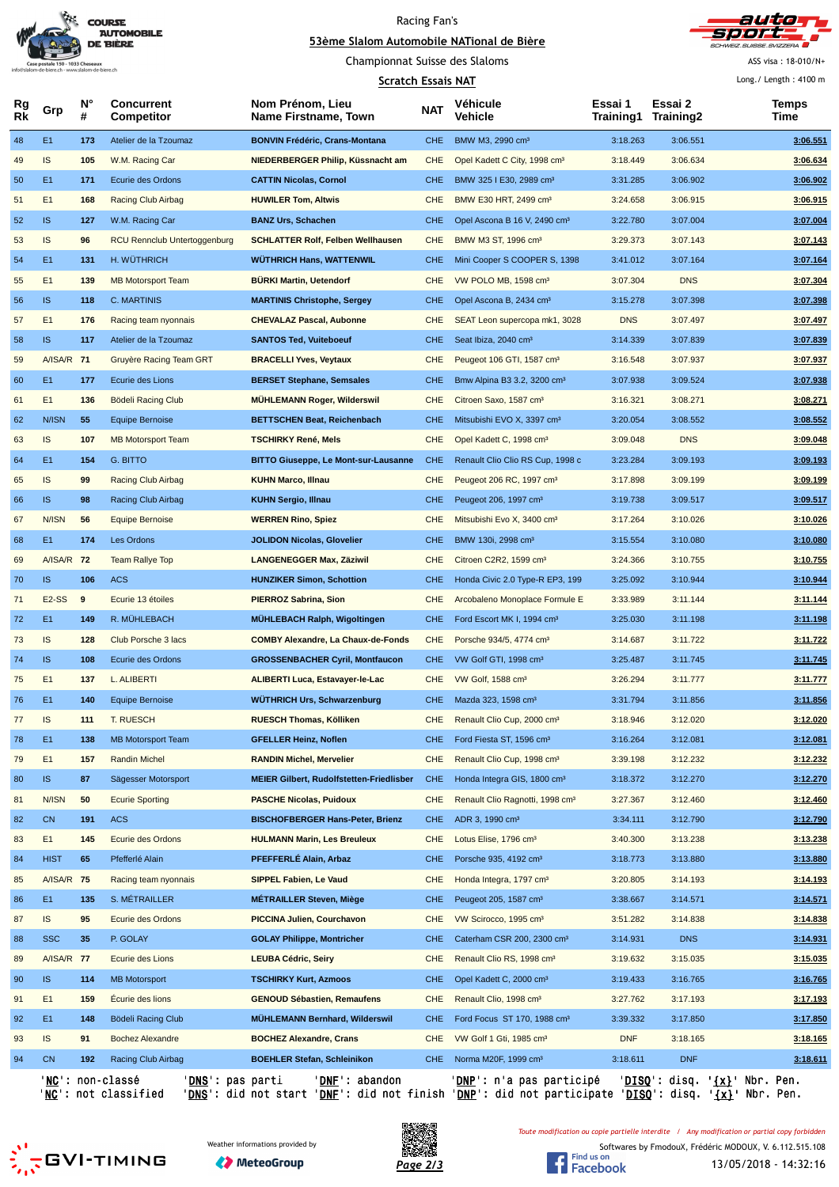

## Racing Fan's





ASS visa : 18-010/N+

### **Scratch Essais NAT** Long./ Length : 4100 m **Rg Rk N° # Concurrent Competitor Nom Prénom, Lieu Name Firstname, Town Véhicule Vehicle Essai 1 Training1 Essai 2 Training2 Temps** Grp **Manufacture Competitor** Name Firstname, Town NAT Vehicle **Competition** Training 2 Time<br>Training 1 Training 2 Time 48 E1 **173** Atelier de la Tzoumaz **BONVIN Frédéric, Crans-Montana** CHE BMW M3, 2990 cm³ 3:18.263 3:06.551 **3:06.551** 49 IS **105** W.M. Racing Car **NIEDERBERGER Philip, Küssnacht am** CHE Opel Kadett C City, 1998 cm³ 3:18.449 3:06.634 **3:06.634** 50 E1 **171** Ecurie des Ordons **CATTIN Nicolas, Cornol** CHE BMW 325 I E30, 2989 cm³ 3:31.285 3:06.902 **3:06.902** 51 E1 **168** Racing Club Airbag **HUWILER Tom, Altwis** CHE BMW E30 HRT, 2499 cm³ 3:24.658 3:06.915 **3:06.915** 52 IS **127** W.M. Racing Car **BANZ Urs, Schachen** CHE Opel Ascona B 16 V, 2490 cm³ 3:22.780 3:07.004 **3:07.004** 53 IS **96** RCU Rennclub Untertoggenburg **SCHLATTER Rolf, Felben Wellhausen** CHE BMW M3 ST, 1996 cm³ 3:29.373 3:07.143 **3:07.143** 54 E1 **131** H. WÜTHRICH **WÜTHRICH Hans, WATTENWIL** CHE Mini Cooper S COOPER S, 1398 3:41.012 3:07.164 **3:07.164** 55 E1 139 MB Motorsport Team **BÜRKI Martin, Uetendorf CHE VW POLO MB**, 1598 cm<sup>3</sup> 3:07.304 DNS 3:07.304 3:07.304 56 IS **118** C. MARTINIS **MARTINIS Christophe, Sergey** CHE Opel Ascona B, 2434 cm³ 3:15.278 3:07.398 **3:07.398** 57 E1 **176** Racing team nyonnais **CHEVALAZ Pascal, Aubonne** CHE SEAT Leon supercopa mk1, 3028 DNS 3:07.497 **3:07.497** 58 IS **117** Atelier de la Tzoumaz **SANTOS Ted, Vuiteboeuf** CHE Seat Ibiza, 2040 cm³ 3:14.339 3:07.839 **3:07.839** 59 A/ISA/R **71** Gruyère Racing Team GRT **BRACELLI Yves, Veytaux** CHE Peugeot 106 GTI, 1587 cm³ 3:16.548 3:07.937 **3:07.937** 60 E1 **177** Ecurie des Lions **BERSET Stephane, Semsales** CHE Bmw Alpina B3 3.2, 3200 cm³ 3:07.938 3:09.524 **3:07.938** 61 E1 **136** Bödeli Racing Club **MÜHLEMANN Roger, Wilderswil** CHE Citroen Saxo, 1587 cm³ 3:16.321 3:08.271 **3:08.271** 62 N/ISN **55** Equipe Bernoise **BETTSCHEN Beat, Reichenbach** CHE Mitsubishi EVO X, 3397 cm³ 3:20.054 3:08.552 **3:08.552** 63 IS **107** MB Motorsport Team **TSCHIRKY René, Mels** CHE Opel Kadett C, 1998 cm³ 3:09.048 DNS **3:09.048** 64 E1 **154** G. BITTO **BITTO Giuseppe, Le Mont-sur-Lausanne** CHE Renault Clio Clio RS Cup, 1998 c 3:23.284 3:09.193 **3:09.193** 65 IS **99** Racing Club Airbag **KUHN Marco, Illnau** CHE Peugeot 206 RC, 1997 cm³ 3:17.898 3:09.199 **3:09.199** 66 IS **98** Racing Club Airbag **KUHN Sergio, Illnau** CHE Peugeot 206, 1997 cm³ 3:19.738 3:09.517 **3:09.517** 67 N/ISN **56** Equipe Bernoise **WERREN Rino, Spiez** CHE Mitsubishi Evo X, 3400 cm³ 3:17.264 3:10.026 **3:10.026** 68 E1 **174** Les Ordons **JOLIDON Nicolas, Glovelier** CHE BMW 130i, 2998 cm³ 3:15.554 3:10.080 **3:10.080** 69 A/ISA/R **72** Team Rallye Top **LANGENEGGER Max, Zäziwil** CHE Citroen C2R2, 1599 cm³ 3:24.366 3:10.755 **3:10.755** 70 IS **106** ACS **HUNZIKER Simon, Schottion** CHE Honda Civic 2.0 Type-R EP3, 199 3:25.092 3:10.944 **3:10.944** 71 E2-SS **9** Ecurie 13 étoiles **PIERROZ Sabrina, Sion** CHE Arcobaleno Monoplace Formule E 3:33.989 3:11.144 **3:11.144** 72 E1 **149** R. MÜHLEBACH **MÜHLEBACH Ralph, Wigoltingen** CHE Ford Escort MK I, 1994 cm³ 3:25.030 3:11.198 **3:11.198** 73 IS **128** Club Porsche 3 lacs **COMBY Alexandre, La Chaux-de-Fonds** CHE Porsche 934/5, 4774 cm³ 3:14.687 3:11.722 **3:11.722** 74 IS **108** Ecurie des Ordons **GROSSENBACHER Cyril, Montfaucon** CHE VW Golf GTI, 1998 cm³ 3:25.487 3:11.745 **3:11.745** 75 E1 **137** L. ALIBERTI **ALIBERTI Luca, Estavayer-le-Lac** CHE VW Golf, 1588 cm³ 3:26.294 3:11.777 **3:11.777** 76 E1 **140** Equipe Bernoise **WÜTHRICH Urs, Schwarzenburg** CHE Mazda 323, 1598 cm³ 3:31.794 3:11.856 **3:11.856** 77 IS **111** T. RUESCH **RUESCH Thomas, Kölliken** CHE Renault Clio Cup, 2000 cm³ 3:18.946 3:12.020 **3:12.020** 78 E1 **138** MB Motorsport Team **GFELLER Heinz, Noflen** CHE Ford Fiesta ST, 1596 cm³ 3:16.264 3:12.081 **3:12.081** 79 E1 **157** Randin Michel **RANDIN Michel, Mervelier** CHE Renault Clio Cup, 1998 cm³ 3:39.198 3:12.232 **3:12.232** 80 IS **87** Sägesser Motorsport **MEIER Gilbert, Rudolfstetten-Friedlisber** CHE Honda Integra GIS, 1800 cm³ 3:18.372 3:12.270 **3:12.270** 81 N/ISN **50** Ecurie Sporting **PASCHE Nicolas, Puidoux** CHE Renault Clio Ragnotti, 1998 cm³ 3:27.367 3:12.460 **3:12.460** 82 CN **191** ACS **BISCHOFBERGER Hans-Peter, Brienz** CHE ADR 3, 1990 cm³ 3:34.111 3:12.790 **3:12.790** 83 E1 **145** Ecurie des Ordons **HULMANN Marin, Les Breuleux** CHE Lotus Elise, 1796 cm³ 3:40.300 3:13.238 **3:13.238** 84 HIST **65** Pfefferlé Alain **PFEFFERLÉ Alain, Arbaz** CHE Porsche 935, 4192 cm³ 3:18.773 3:13.880 **3:13.880** 85 A/ISA/R 75 Racing team nyonnais **SIPPEL Fabien, Le Vaud** CHE Honda Integra, 1797 cm<sup>3</sup> 3:20.805 3:14.193 **3:14.193** 86 E1 **135** S. MÉTRAILLER **MÉTRAILLER Steven, Miège** CHE Peugeot 205, 1587 cm³ 3:38.667 3:14.571 **3:14.571** 87 IS 95 Ecurie des Ordons **PICCINA Julien, Courchavon** CHE VW Scirocco, 1995 cm<sup>3</sup> 3:14.822 3:14.838 3:14.838 88 SSC 35 P. GOLAY **GOLAY Philippe, Montricher** CHE Caterham CSR 200, 2300 cm<sup>3</sup> 3:14.931 DNS 3:14.931 89 A/ISA/R 77 Ecurie des Lions **LEUBA Cédric, Seiry** CHE Renault Clio RS, 1998 cm<sup>3</sup> 3:19.632 3:15.035 3:15.035 90 IS **114** MB Motorsport **TSCHIRKY Kurt, Azmoos** CHE Opel Kadett C, 2000 cm³ 3:19.433 3:16.765 **3:16.765** 91 E1 **159** Écurie des lions **GENOUD Sébastien, Remaufens** CHE Renault Clio, 1998 cm³ 3:27.762 3:17.193 **3:17.193** 92 E1 **148** Bödeli Racing Club **MÜHLEMANN Bernhard, Wilderswil** CHE Ford Focus ST 170, 1988 cm³ 3:39.332 3:17.850 **3:17.850** 93 IS **91** Bochez Alexandre **BOCHEZ Alexandre, Crans** CHE VW Golf 1 Gti, 1985 cm³ DNF 3:18.165 **3:18.165** 94 CN **192** Racing Club Airbag **BOEHLER Stefan, Schleinikon** CHE Norma M20F, 1999 cm<sup>3</sup> 3:18.611 DNF 3:18.611 'NC': non-classé 'DNS': pas parti 'DNF': abandon 'DNP': n'a pas participé 'DISQ': disq. '{x}' Nbr. Pen.

'<mark>NC</mark>': not classified '<mark>DNS</mark>': did not start '<u>DNF</u>': did not finish '<u>DNP</u>': did not participate '<u>DISQ</u>': disq. '<u>{x}</u>' Nbr. Pen.